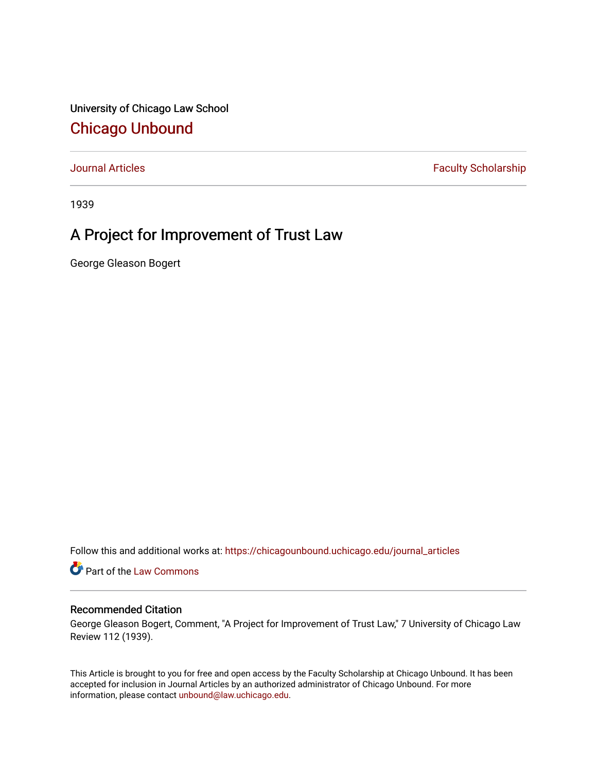University of Chicago Law School [Chicago Unbound](https://chicagounbound.uchicago.edu/)

[Journal Articles](https://chicagounbound.uchicago.edu/journal_articles) **Faculty Scholarship Faculty Scholarship** 

1939

# A Project for Improvement of Trust Law

George Gleason Bogert

Follow this and additional works at: [https://chicagounbound.uchicago.edu/journal\\_articles](https://chicagounbound.uchicago.edu/journal_articles?utm_source=chicagounbound.uchicago.edu%2Fjournal_articles%2F8879&utm_medium=PDF&utm_campaign=PDFCoverPages) 

Part of the [Law Commons](http://network.bepress.com/hgg/discipline/578?utm_source=chicagounbound.uchicago.edu%2Fjournal_articles%2F8879&utm_medium=PDF&utm_campaign=PDFCoverPages)

### Recommended Citation

George Gleason Bogert, Comment, "A Project for Improvement of Trust Law," 7 University of Chicago Law Review 112 (1939).

This Article is brought to you for free and open access by the Faculty Scholarship at Chicago Unbound. It has been accepted for inclusion in Journal Articles by an authorized administrator of Chicago Unbound. For more information, please contact [unbound@law.uchicago.edu](mailto:unbound@law.uchicago.edu).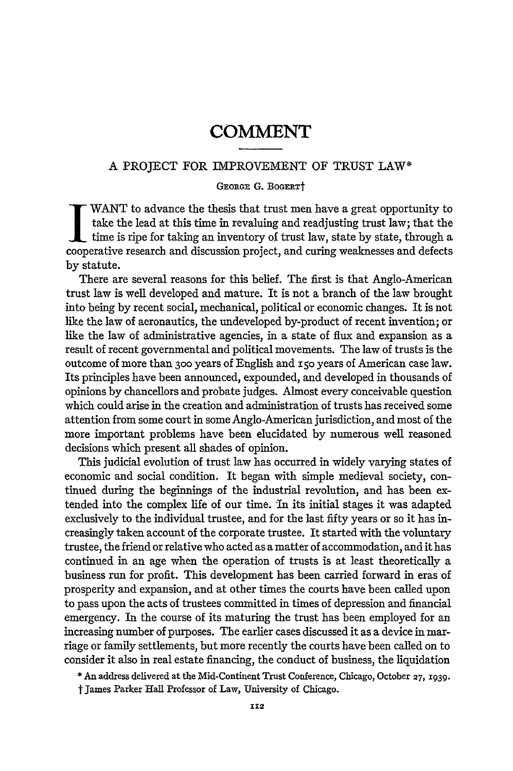#### A PROJECT FOR IMPROVEMENT OF TRUST LAW\*

#### GEORGE G. BOGERTT

WANT to advance the thesis that trust men have a great opportunity to take the lead at this time in revaluing and readjusting trust law; that the time is ripe for taking an inventory of trust law, state **by** state, through a cooperative research and discussion project, and curing weaknesses and defects by statute.

There are several reasons for this belief. The first is that Anglo-American trust law is well developed and mature. It is not a branch of the law brought into being by recent social, mechanical, political or economic changes. It is not like the law of aeronautics, the undeveloped by-product of recent invention; or like the law of administrative agencies, in a state of flux and expansion as a result of recent governmental and political movements. The law of trusts is the outcome of more than **300** years of English and **150** years of American case law. Its principles have been announced, expounded, and developed in thousands of opinions by chancellors and probate judges. Almost every conceivable question which could arise in the creation and administration of trusts has received some attention from some court in some Anglo-American jurisdiction, and most of the more important problems have been elucidated by numerous well reasoned decisions which present all shades of opinion.

This judicial evolution of trust law has occurred in widely varying states of economic and social condition. It began with simple medieval society, continued during the beginnings of the industrial revolution, and has been extended into the complex life of our time. In its initial stages it was adapted exclusively to the individual trustee, and for the last fifty years or so it has increasingly taken account of the corporate trustee. It started with the voluntary trustee, the friend or relative who acted as a matter of accommodation, and it has continued in an age when the operation of trusts is at least theoretically a business run for profit. This development has been carried forward in eras of prosperity and expansion, and at other times the courts have been called upon to pass upon the acts of trustees committed in times of depression and financial emergency. In the course of its maturing the trust has been employed for an increasing number of purposes. The earlier cases discussed it as a device in marriage or family settlements, but more recently the courts have been called on to consider it also in real estate financing, the conduct of business, the liquidation

\* An address delivered at the Mid-Continent Trust Conference, Chicago, October **27, 1939.**

t James Parker **Hall** Professor of Law, University of Chicago.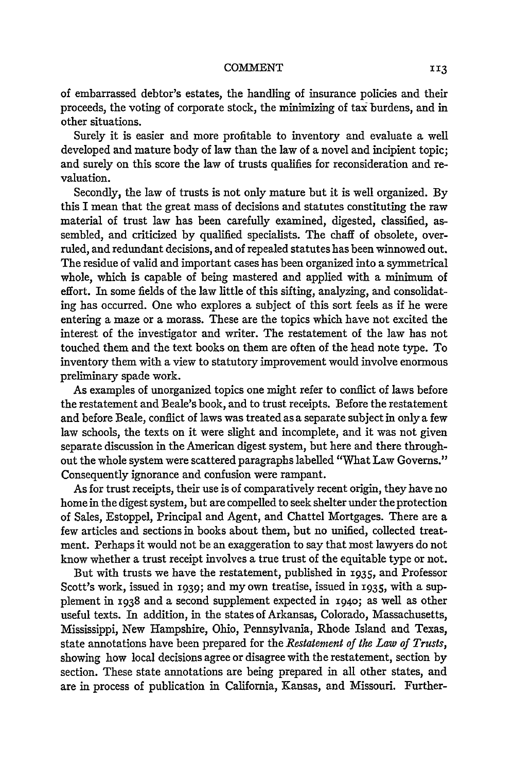of embarrassed debtor's estates, the handling of insurance policies and their proceeds, the voting of corporate stock, the minimizing of tax burdens, and in other situations.

Surely it is easier and more profitable to inventory and evaluate a well developed and mature body of law than the law of a novel and incipient topic; and surely on this score the law of trusts qualifies for reconsideration and revaluation.

Secondly, the law of trusts is not only mature but it is well organized. By this I mean that the great mass of decisions and statutes constituting the raw material of trust law has been carefully examined, digested, classified, assembled, and criticized by qualified specialists. The chaff of obsolete, overruled, and redundant decisions, and of repealed statutes has been winnowed out. The residue of valid and important cases has been organized into a symmetrical whole, which is capable of being mastered and applied with a minimum of effort. In some fields of the law little of this sifting, analyzing, and consolidating has occurred. One who explores a subject of this sort feels as if he were entering a maze or a morass. These are the topics which have not excited the interest of the investigator and writer. The restatement of the law has not touched them and the text books on them are often of the head note type. To inventory them with a view to statutory improvement would involve enormous preliminary spade work.

As examples of unorganized topics one might refer to conflict of laws before the restatement and Beale's book, and to trust receipts. Before the restatement and before Beale, conflict of laws was treated as a separate subject in only a few law schools, the texts on it were slight and incomplete, and it was not given separate discussion in the American digest system, but here and there throughout the whole system were scattered paragraphs labelled "What Law Governs." Consequently ignorance and confusion were rampant.

As for trust receipts, their use is of comparatively recent origin, they have no home in the digest system, but are compelled to seek shelter under the protection of Sales, Estoppel, Principal and Agent, and Chattel Mortgages. There are a few articles and sections in books about them, but no unified, collected treatment. Perhaps it would not be an exaggeration to say that most lawyers do not know whether a trust receipt involves a true trust of the equitable type or not.

But with trusts we have the restatement, published in 1935, and Professor Scott's work, issued in 1939; and my own treatise, issued in 1935, with a supplement in i938 and a second supplement expected in i94o; as well as other useful texts. In addition, in the states of Arkansas, Colorado, Massachusetts, Mississippi, New Hampshire, Ohio, Pennsylvania, Rhode Island and Texas, state annotations have been prepared for the *Restatement of the Law of Trusts,* showing how local decisions agree or disagree with the restatement, section by section. These state annotations are being prepared in all other states, and are in process of publication in California, Kansas, and Missouri. Further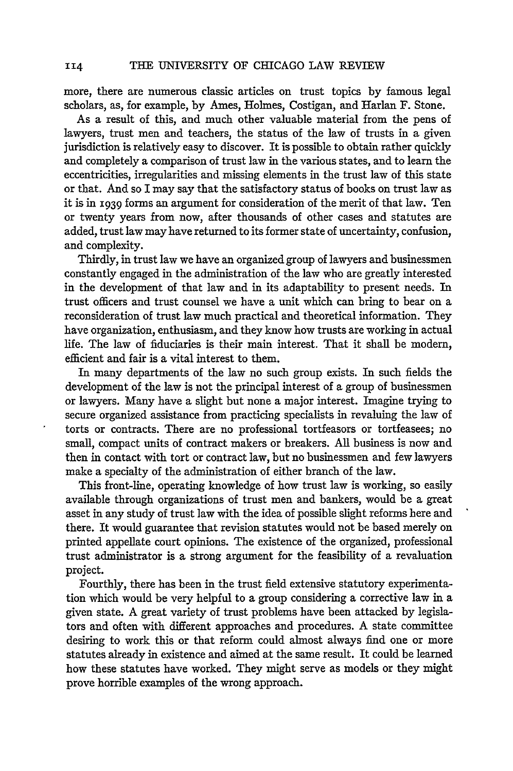more, there are numerous classic articles on trust topics by famous legal scholars, as, for example, by Ames, Holmes, Costigan, and Harlan F. Stone.

As a result of this, and much other valuable material from the pens of lawyers, trust men and teachers, the status of the law of trusts in a given jurisdiction is relatively easy to discover. It is possible to obtain rather quickly and completely a comparison of trust law in the various states, and to learn the eccentricities, irregularities and missing elements in the trust law of this state or that. And so I may say that the satisfactory status of books on trust law as it is in 1939 forms an argument for consideration of the merit of that law. Ten or twenty years from now, after thousands of other cases and statutes are added, trust law may have returned to its former state of uncertainty, confusion, and complexity.

Thirdly, in trust law we have an organized group of lawyers and businessmen constantly engaged in the administration of the law who are greatly interested in the development of that law and in its adaptability to present needs. In trust officers and trust counsel we have a unit which can bring to bear on a reconsideration of trust law much practical and theoretical information. They have organization, enthusiasm, and they know how trusts are working in actual life. The law of fiduciaries is their main interest. That it shall be modem, efficient and fair is a vital interest to them.

In many departments of the law no such group exists. In such fields the development of the law is not the principal interest of a group of businessmen or lawyers. Many have a slight but none a major interest. Imagine trying to secure organized assistance from practicing specialists in revaluing the law of torts or contracts. There are no professional tortfeasors or tortfeasees; no small, compact units of contract makers or breakers. All business is now and then in contact with tort or contract law, but no businessmen and few lawyers make a specialty of the administration of either branch of the law.

This front-line, operating knowledge of how trust law is working, so easily available through organizations of trust men and bankers, would be a great asset in any study of trust law with the idea of possible slight reforms here and there. It would guarantee that revision statutes would not be based merely on printed appellate court opinions. The existence of the organized, professional trust administrator is a strong argument for the feasibility of a revaluation project.

Fourthly, there has been in the trust field extensive statutory experimentation which would be very helpful to a group considering a corrective law in a given state. A great variety of trust problems have been attacked by legislators and often with different approaches and procedures. A state committee desiring to work this or that reform could almost always find one or more statutes already in existence and aimed at the same result. It could be learned how these statutes have worked. They might serve as models or they might prove horrible examples of the wrong approach.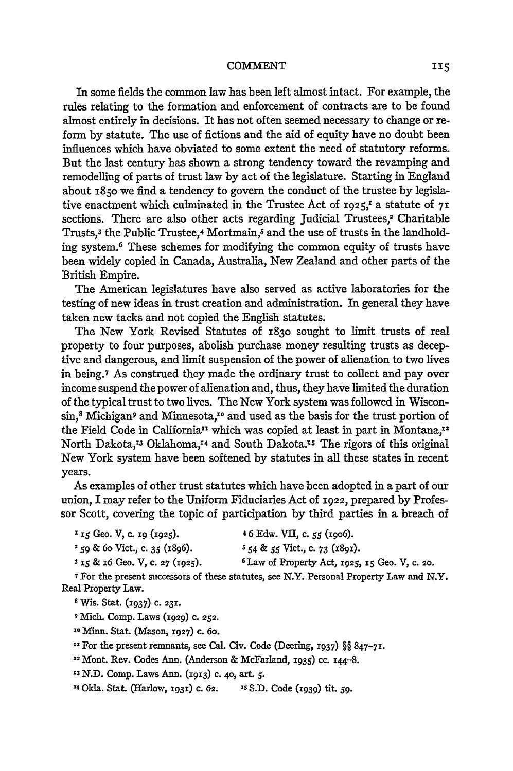In some fields the common law has been left almost intact. For example, the rules relating to the formation and enforcement of contracts are to be found almost entirely in decisions. It has not often seemed necessary to change or reform by statute. The use of fictions and the aid of equity have no doubt been influences which have obviated to some extent the need of statutory reforms. But the last century has shown a strong tendency toward the revamping and remodelling of parts of trust law by act of the legislature. Starting in England about **1850** we find a tendency to govern the conduct of the trustee by legislative enactment which culminated in the Trustee Act of **1925,'** a statute of **71** sections. There are also other acts regarding Judicial Trustees, $<sup>2</sup>$  Charitable</sup> Trusts,<sup>3</sup> the Public Trustee,<sup>4</sup> Mortmain,<sup>5</sup> and the use of trusts in the landholding system.6 These schemes for modifying the common equity of trusts have been widely copied in Canada, Australia, New Zealand and other parts of the British Empire.

The American legislatures have also served as active laboratories for the testing of new ideas in trust creation and administration. In general they have taken new tacks and not copied the English statutes.

The New York Revised Statutes of 183o sought to limit trusts of real property to four purposes, abolish purchase money resulting trusts as deceptive and dangerous, and limit suspension of the power of alienation to two lives in being.7 As construed they made the ordinary trust to collect and pay over income suspend the power of alienation and, thus, they have limited the duration of the typical trust to two lives. The New York system was followed in Wisconsin,<sup>8</sup> Michigan<sup>9</sup> and Minnesota,<sup>10</sup> and used as the basis for the trust portion of the Field Code in California<sup>11</sup> which was copied at least in part in Montana,<sup>12</sup> North Dakota,<sup>13</sup> Oklahoma,<sup>14</sup> and South Dakota.<sup>15</sup> The rigors of this original New York system have been softened by statutes in all these states in recent years.

As examples of other trust statutes which have been adopted in a part of our union, I may refer to the Uniform Fiduciaries Act of **1922,** prepared by Professor Scott, covering the topic of participation by third parties in a breach of

| <sup>1</sup> 15 Geo. V, c. 19 (1925). | 46 Edw. VII, c. 55 (1906).      |
|---------------------------------------|---------------------------------|
| $2$ 50 & 60 Vict., c. 35 (1806).      | $554$ & 55 Vict., c. 73 (1891). |

**3 iS &** 16 Geo. V, c. **27** (1925). 6Law of Property Act, *1925,* **I5** Geo. V, **C. 20.**

**7** For the present successors of these statutes, see N.Y. Personal Property Law and N.Y. Real Property Law.

**8** Wis. Stat. (1937) c. 231.

**9** Mich. Comp. Laws (1929) **C. 252.**

**" Minn.** Stat. (Mason, **1927) c. 6o.**

xFor the present remnants, see Cal. Civ. Code (Deering, **1937)** §§ 847-71.

12 Mont. Rev. Codes Ann. (Anderson **&** McFarland, **X935) cc.** i44-8.

**X3 N.D.** Comp. Laws Ann. **(1913) c. 4o,** art. **5.**

**14** Okla. Stat. (Harlow, **1931)** c. **62. "S** S.D. Code (1939) tit. **59.**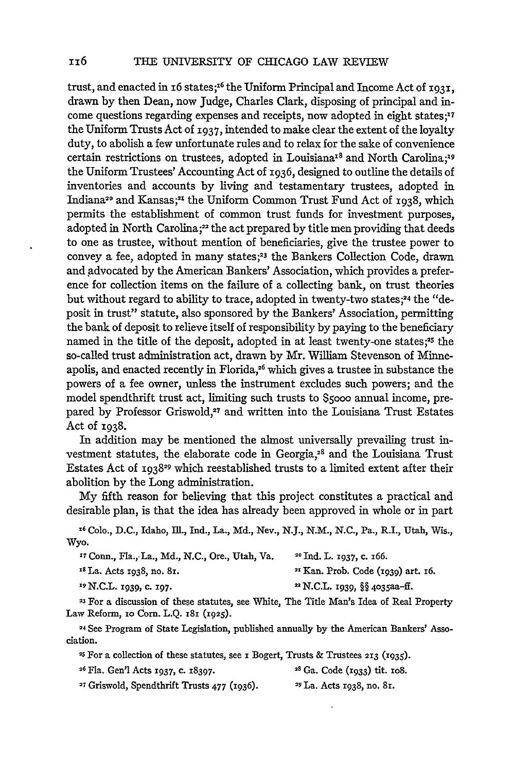trust, and enacted in i6 states; 6 the Uniform Principal and Income Act of **1931,** drawn by then Dean, now Judge, Charles Clark, disposing of principal and income questions regarding expenses and receipts, now adopted in eight states;<sup>17</sup> the Uniform Trusts Act of **1937,** intended to make clear the extent of the loyalty duty, to abolish a few unfortunate rules and to relax for the sake of convenience certain restrictions on trustees, adopted in Louisiana<sup>18</sup> and North Carolina;<sup>19</sup> the Uniform Trustees' Accounting Act of 1936, designed to outline the details of inventories and accounts by living and testamentary trustees, adopted in Indiana<sup>20</sup> and Kansas;<sup>21</sup> the Uniform Common Trust Fund Act of 1938, which permits the establishment of common trust funds for investment purposes, adopted in North Carolina;<sup>22</sup> the act prepared by title men providing that deeds to one as trustee, without mention of beneficiaries, give the trustee power to convey a fee, adopted in many states;<sup>23</sup> the Bankers Collection Code, drawn and advocated by the American Bankers' Association, which provides a preference for collection items on the failure of a collecting bank, on trust theories but without regard to ability to trace, adopted in twenty-two states;<sup>24</sup> the "deposit in trust" statute, also sponsored by the Bankers' Association, permitting the bank of deposit to relieve itself of responsibility by paying to the beneficiary named in the title of the deposit, adopted in at least twenty-one states;<sup>25</sup> the so-called trust administration act, drawn by Mr. William Stevenson of Minneapolis, and enacted recently in Florida,<sup>26</sup> which gives a trustee in substance the powers of a fee owner, unless the instrument excludes such powers; and the model spendthrift trust act, limiting such trusts to **\$5ooo** annual income, prepared by Professor Griswold,<sup>27</sup> and written into the Louisiana Trust Estates Act of  $1938.$ 

In addition may be mentioned the almost universally prevailing trust investment statutes, the elaborate code in Georgia,<sup>28</sup> and the Louisiana Trust Estates Act of **<sup>193</sup> <sup>8</sup> <sup>29</sup>**which reestablished trusts to a limited extent after their abolition by the Long administration.

My fifth reason for believing that this project constitutes a practical and desirable plan, is that the idea has already been approved in whole or in part

**X <sup>6</sup>**Colo., D.C., Idaho, Ill., ind., La., **Md.,** Nev., N.J., N.M., N.C., Pa., R.I., Utah, Wis., Wyo.

| <sup>17</sup> Conn., Fla., La., Md., N.C., Ore., Utah, Va. | <sup>20</sup> Ind. L. 1937, c. 166.      |
|------------------------------------------------------------|------------------------------------------|
| <sup>18</sup> La. Acts 1938, no. 81.                       | $2I$ Kan. Prob. Code (1939) art. 16.     |
| <sup>19</sup> N.C.L. 1939, c. 197.                         | <sup>22</sup> N.C.L. 1939, §§ 4035aa-ff. |
|                                                            |                                          |

**<sup>23</sup>**For a discussion of these statutes, see White, The Title Man's Idea of Real Property Law Reform, **zo** Corn. L.Q. **x81** *(1925).*

24 See Program of State Legislation, published annually by the American Bankers' Association.

**25** For a collection of these statutes, see i Bogert, Trusts **&** Trustees **213 (1935).**

- **<sup>6</sup>**Fla. Gen'l Acts **1937, C. 18397. 8** Ga. Code (i933) tit. **io8.**
- **'7** Griswold, Spendthrift Trusts **477 (1936).** 9 La. Acts 1938, no. 81.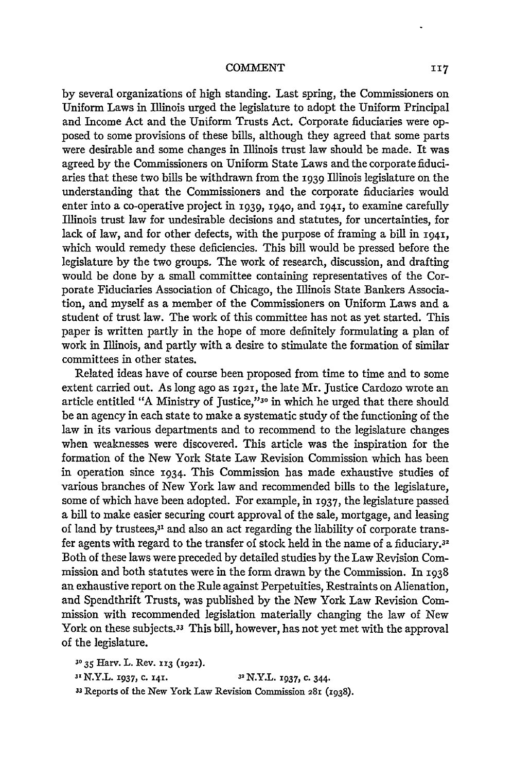by several organizations of high standing. Last spring, the Commissioners on Uniform Laws in Illinois urged the legislature to adopt the Uniform Principal and Income Act and the Uniform Trusts Act. Corporate fiduciaries were opposed to some provisions of these bills, although they agreed that some parts were desirable and some changes in Illinois trust law should be made. It was agreed by the Commissioners on Uniform State Laws and the corporate fiduciaries that these two bills be withdrawn from the 1939 Illinois legislature on the understanding that the Commissioners and the corporate fiduciaries would enter into a co-operative project in 1939, **194o,** and **1941,** to examine carefully Illinois trust law for undesirable decisions and statutes, for uncertainties, for lack of law, and for other defects, with the purpose of framing a bill in **1941,** which would remedy these deficiencies. This bill would be pressed before the legislature by the two groups. The work of research, discussion, and drafting would be done by a small committee containing representatives of the Corporate Fiduciaries Association of Chicago, the Illinois State Bankers Association, and myself as a member of the Commissioners on Uniform Laws and a student of trust law. The work of this committee has not as yet started. This paper is written partly in the hope of more definitely formulating a plan of work in Illinois, and partly with a desire to stimulate the formation of similar committees in other states.

Related ideas have of course been proposed from time to time and to some extent carried out. As long ago as **1921,** the late Mr. Justice Cardozo wrote an article entitled "A Ministry of Justice,"<sup>30</sup> in which he urged that there should be an agency in each state to make a systematic study of the functioning of the law in its various departments and to recommend to the legislature changes when weaknesses were discovered. This article was the inspiration for the formation of the New York State Law Revision Commission which has been in operation since 1934. This Commission has made exhaustive studies of various branches of New York law and recommended bills to the legislature, some of which have been adopted. For example, in **1937,** the legislature passed a bill to make easier securing court approval of the sale, mortgage, and leasing of land by trustees,<sup>31</sup> and also an act regarding the liability of corporate transfer agents with regard to the transfer of stock held in the name of a fiduciary.32 Both of these laws were preceded by detailed studies by the Law Revision Commission and both statutes were in the form drawn by the Commission. In 1938 an exhaustive report on the Rule against Perpetuities, Restraints on Alienation, and Spendthrift Trusts, was published by the New York Law Revision Commission with recommended legislation materially changing the law of New York on these subjects.33 This bill, however, has not yet met with the approval of the legislature.

**3035** Harv. L. Rev. **113 (1921).**

*<sup>31</sup>*N.Y.L. **1937, C. 141. 31** N.Y.L. **1937, c.** 344.

**33** Reports of the New York Law Revision Commission **281 (1938).**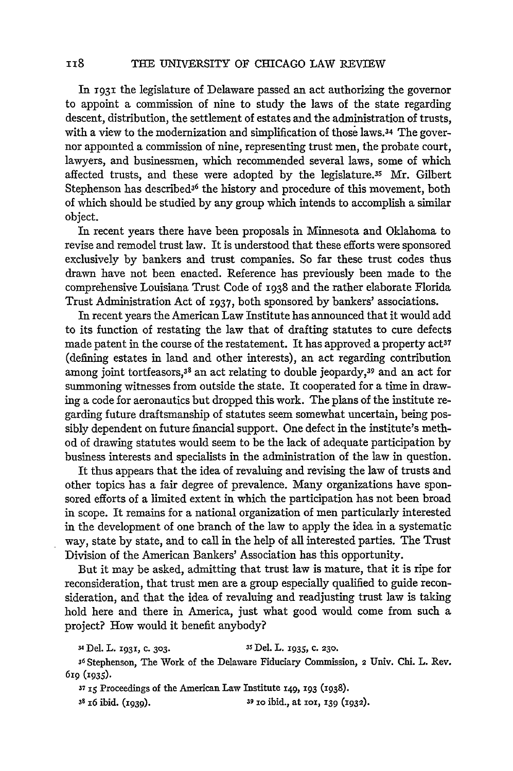In **T93i** the legislature of Delaware passed an act authorizing the governor to appoint a commission of nine to study the laws of the state regarding descent, distribution, the settlement of estates and the administration of trusts, with a view to the modernization and simplification of those laws.34 The governor appointed a commission of nine, representing trust men, the probate court, lawyers, and businessmen, which recommended several laws, some of which affected trusts, and these were adopted by the legislature.<sup>35</sup> Mr. Gilber Stephenson has described $3<sup>6</sup>$  the history and procedure of this movement, both of which should be studied by any group which intends to accomplish a similar object.

In recent years there have been proposals in Minnesota and Oklahoma to revise and remodel trust law. It is understood that these efforts were sponsored exclusively by bankers and trust companies. So far these trust codes thus drawn have not been enacted. Reference has previously been made to the comprehensive Louisiana Trust Code of 1938 and the rather elaborate Florida Trust Administration Act of 1937, both sponsored by bankers' associations.

In recent years the American Law Institute has announced that it would add to its function of restating the law that of drafting statutes to cure defects made patent in the course of the restatement. It has approved a property act<sup>37</sup> (defining estates in land and other interests), an act regarding contribution among joint tortfeasors, $38$  an act relating to double jeopardy, $39$  and an act for summoning witnesses from outside the state. It cooperated for a time in drawing a code for aeronautics but dropped this work. The plans of the institute regarding future draftsmanship of statutes seem somewhat uncertain, being possibly dependent on future financial support. One defect in the institute's method of drawing statutes would seem to be the lack of adequate participation by business interests and specialists in the administration of the law in question.

It thus appears that the idea of revaluing and revising the law of trusts and other topics has a fair degree of prevalence. Many organizations have sponsored efforts of a limited extent in which the participation has not been broad in scope. It remains for a national organization of men particularly interested in the development of one branch of the law to apply the idea in a systematic way, state by state, and to call in the help of all interested parties. The Trust Division of the American Bankers' Association has this opportunity.

But it may be asked, admitting that trust law is mature, that it is ripe for reconsideration, that trust men are a group especially qualified to guide reconsideration, and that the idea of revaluing and readjusting trust law is taking hold here and there in America, just what good would come from such a project? How would it benefit anybody?

**<sup>34</sup>**Del. L. **1931, c. 303.** *3s* Del. L. 1935, **c. 230.**

**<sup>36</sup>**Stephenson, The Work of the Delaware Fiduciary Commission, 2 Univ. Chi. L. Rev. 6rg (1935).

**37 15** Proceedings of the American Law Institute 149, **193** (1938).

**II8** 

**38 I6** ibid. (I939). **39** io ibid., at iox, **139** (1932).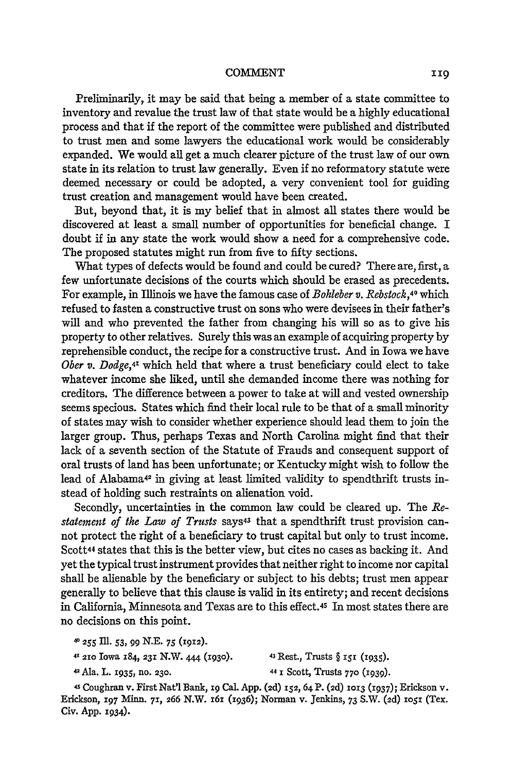#### CONMENT

Preliminarily, it may be said that being a member of a state committee to inventory and revalue the trust law of that state would be a highly educational process and that if the report of the committee were published and distributed to trust men and some lawyers the educational work would be considerably expanded. We would all get a much clearer picture of the trust law of our own state in its relation to trust law generally. Even if no reformatory statute were deemed necessary or could be adopted, a very convenient tool for guiding trust creation and management would have been created.

But, beyond that, it is my belief that in almost all states there would be discovered at least a small number of opportunities for beneficial change. I doubt if in any state the work would show a need for a comprehensive code. The proposed statutes might run from five to fifty sections.

What types of defects would be found and could be cured? There are, first, a few unfortunate decisions of the courts which should be erased as precedents. For example, in Illinois we have the famous case of *Bohleber v. Rebstock,40* which refused to fasten a constructive trust on sons who were devisees in their father's will and who prevented the father from changing his will so as to give his property to other relatives. Surely this was an example of acquiring property by reprehensible conduct, the recipe for a constructive trust. And in Iowa we have *Ober v. Dodge,4x* which held that where a trust beneficiary could elect to take whatever income she liked, until she demanded income there was nothing for creditors. The difference between a power to take at will and vested ownership seems specious. States which find their local rule to be that of a small minority of states may wish to consider whether experience should lead them to join the larger group. Thus, perhaps Texas and North Carolina might find that their lack of a seventh section of the Statute of Frauds and consequent support of oral trusts of land has been unfortunate; or Kentucky might wish to follow the lead of Alabama<sup>42</sup> in giving at least limited validity to spendthrift trusts instead of holding such restraints on alienation void.

Secondly, uncertainties in the common law could be cleared up. The *Re*statement of the Law of Trusts says<sup>43</sup> that a spendthrift trust provision cannot protect the right of a beneficiary to trust capital but only to trust income. Scott<sup>44</sup> states that this is the better view, but cites no cases as backing it. And yet the typical trust instrument provides that neither right to income nor capital shall be alienable by the beneficiary or subject to his debts; trust men appear generally to believe that this clause is valid in its entirety; and recent decisions in California, Minnesota and Texas are to this effect.45 In most states there are no decisions on this point.

42Ala. L. **x935, no. 230. 44 1** Scott, Trusts **770 (i939).**

4S Coughran v. First Nat'l Bank, ig Cal. App. **(2d)** 152, 64 **P. (2d) 1013** (1937); Erickson v. Erickson, *I97* Minn. **71, 266** N.W. **i6i** (1936); Norman v. Jenkins, 73 S.W. (2d) **1051** (Tex. Civ. App. 1934).

<sup>40</sup>**255 II1. 53, 99 N.E. 75 (1912).**

<sup>41</sup> **210** Iowa 184, **231** N.W. 444 **(i93O).** 43 Rest., Trusts § **I5I** (I935).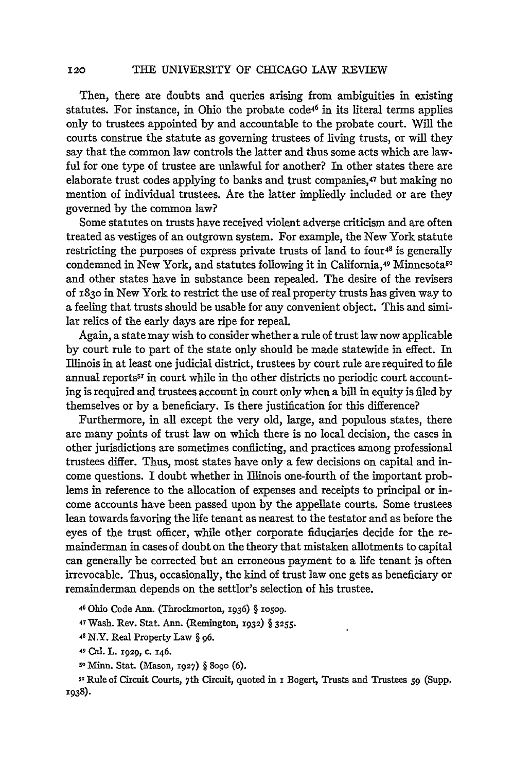THE UNIVERSITY OF CHICAGO LAW REVIEW

Then, there are doubts and queries arising from ambiguities in existing statutes. For instance, in Ohio the probate code<sup>46</sup> in its literal terms applies only to trustees appointed by and accountable to the probate court. Will the courts construe the statute as governing trustees of living trusts, or will they say that the common law controls the latter and thus some acts which are lawful for one type of trustee are unlawful for another? In other states there are elaborate trust codes applying to banks and trust companies,47 but making no mention of individual trustees. Are the latter impliedly included or are they governed by the common law?

Some statutes on trusts have received violent adverse criticism and are often treated as vestiges of an outgrown system. For example, the New York statute restricting the purposes of express private trusts of land to four<sup>48</sup> is generally condemned in New York, and statutes following it in California,<sup>49</sup> Minnesota<sup>50</sup> and other states have in substance been repealed. The desire of the revisers of **183<sup>o</sup>**in New York to restrict the use of real property trusts has given way to a feeling that trusts should be usable for any convenient object. This and similar relics of the early days are ripe for repeal.

Again, a state may wish to consider whether a rule of trust law now applicable by court rule to part of the state only should be made statewide in effect. In Illinois in at least one judicial district, trustees by court rule are required to file annual reports<sup>51</sup> in court while in the other districts no periodic court accounting is required and trustees account in court only when a bill in equity is filed by themselves or by a beneficiary. Is there justification for this difference?

Furthermore, in all except the very old, large, and populous states, there are many points of trust law on which there is no local decision, the cases in other jurisdictions are sometimes conflicting, and practices among professional trustees differ. Thus, most states have only a few decisions on capital and income questions. I doubt whether in Illinois one-fourth of the important problems in reference to the allocation of expenses and receipts to principal or income accounts have been passed upon by the appellate courts. Some trustees lean towards favoring the life tenant as nearest to the testator and as before the eyes of the trust officer, while other corporate fiduciaries decide for the remainderman in cases of doubt on the theory that mistaken allotments to capital can generally be corrected but an erroneous payment to a life tenant is often irrevocable. Thus, occasionally, the kind of trust law one gets as beneficiary or remainderman depends on the settlor's selection of his trustee.

46 Ohio Code Ann. (Throckmorton, **1936)** § **oo9.**

**<sup>47</sup>**Wash. Rev. Stat. Ann. (Remington, **1932)** § **3255.**

**48** N.Y. Real Property Law § **96.**

49 Cal. L. **1929,** c. 146.

so Minn. Stat. (Mason, **1927)** § 8o9o **(6).**

Sule of Circuit Courts, 7th Circuit, quoted in **i** Bogert, Trusts and Trustees *59* (Supp. **1938).**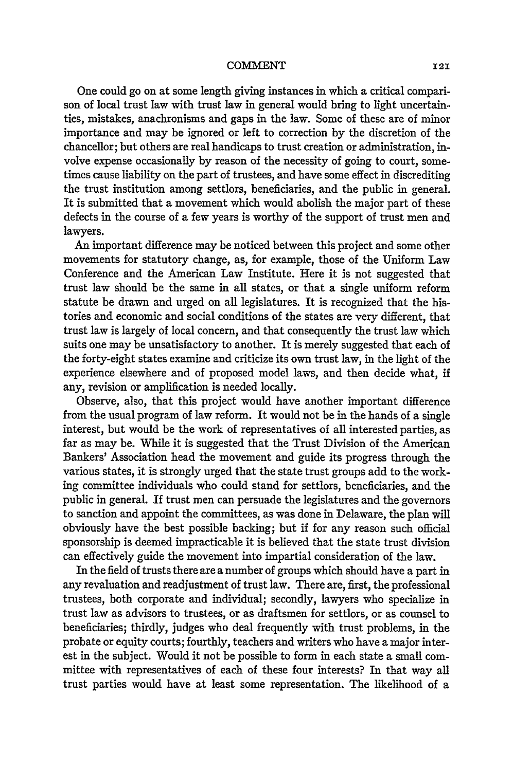One could go on at some length giving instances in which a critical comparison of local trust law with trust law in general would bring to light uncertainties, mistakes, anachronisms and gaps in the law. Some of these are of minor importance and may be ignored or left to correction by the discretion of the chancellor; but others are real handicaps to trust creation or administration, involve expense occasionally by reason of the necessity of going to court, sometimes cause liability on the part of trustees, and have some effect in discrediting the trust institution among settlors, beneficiaries, and the public in general. It is submitted that a movement which would abolish the major part of these defects in the course of a few years is worthy of the support of trust men and lawyers.

An important difference may be noticed between this project and some other movements for statutory change, as, for example, those of the Uniform Law Conference and the American Law Institute. Here it is not suggested that trust law should be the same in all states, or that a single uniform reform statute be drawn and urged on all legislatures. It is recognized that the histories and economic and social conditions of the states are very different, that trust law is largely of local concern, and that consequently the trust law which suits one may be unsatisfactory to another. It is merely suggested that each of the forty-eight states examine and criticize its own trust law, in the light of the experience elsewhere and of proposed model laws, and then decide what, if any, revision or amplification is needed locally.

Observe, also, that this project would have another important difference from the usual program of law reform. It would not be in the hands of a single interest, but would be the work of representatives of all interested parties, as far as may be. While it is suggested that the Trust Division of the American Bankers' Association head the movement and guide its progress through the various states, it is strongly urged that the state trust groups add to the working committee individuals who could stand for settlors, beneficiaries, and the public in general. If trust men can persuade the legislatures and the governors to sanction and appoint the committees, as was done in Delaware, the plan will obviously have the best possible backing; but if for any reason such official sponsorship is deemed impracticable it is believed that the state trust division can effectively guide the movement into impartial consideration of the law.

In the field of trusts there are a number of groups which should have a part in any revaluation and readjustment of trust law. There are, first, the professional trustees, both corporate and individual; secondly, lawyers who specialize in trust law as advisors to trustees, or as draftsmen for settlors, or as counsel to beneficiaries; thirdly, judges who deal frequently with trust problems, in the probate or equity courts; fourthly, teachers and writers who have a major interest in the subject. Would it not be possible to form in each state a small committee with representatives of each of these four interests? In that way all trust parties would have at least some representation. The likelihood of a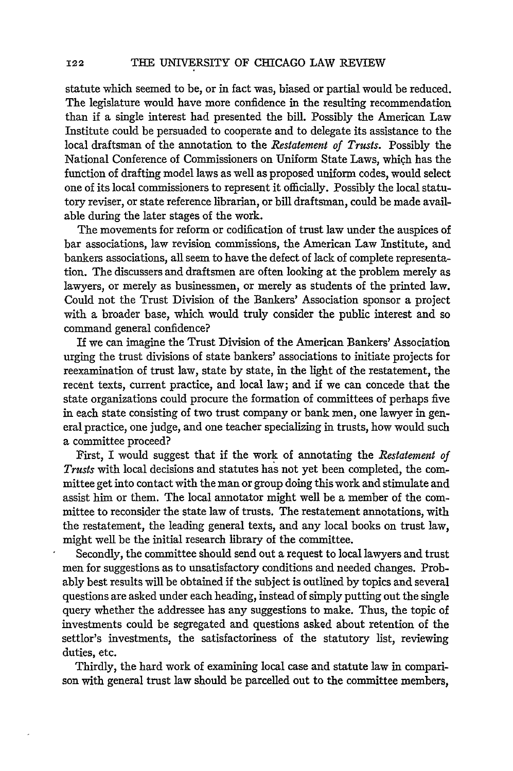statute which seemed to be, or in fact was, biased or partial would be reduced. The legislature would have more confidence in the resulting recommendation than if a single interest had presented the bill. Possibly the American Law Institute could be persuaded to cooperate and to delegate its assistance to the local draftsman of the annotation to the *Restatement of Trusts.* Possibly the National Conference of Commissioners on Uniform State Laws, which has the function of drafting model laws as well as proposed uniform codes, would select one of its local commissioners to represent it officially. Possibly the local statutory reviser, or state reference librarian, or bill draftsman, could be made available during the later stages of the work.

The movements for reform or codification of trust law under the auspices of bar associations, law revision commissions, the American Law Institute, and bankers associations, all seem to have the defect of lack of complete representation. The discussers and draftsmen are often looking at the problem merely as lawyers, or merely as businessmen, or merely as students of the printed law. Could not the Trust Division of the Bankers' Association sponsor a project with a broader base, which would truly consider the public interest and so command general confidence?

If we can imagine the Trust Division of the American Bankers' Association urging the trust divisions of state bankers' associations to initiate projects for reexamination of trust law, state by state, in the light of the restatement, the recent texts, current practice, and local law; and **if** we can concede that the state organizations could procure the formation of committees of perhaps five in each state consisting of two trust company or bank men, one lawyer in general practice, one judge, and one teacher specializing in trusts, how would such a committee proceed?

First, I would suggest that if the work of annotating the *Restatement of Trusts* with local decisions and statutes has not yet been completed, the committee get into contact with the man or group doing this work and stimulate and assist him or them. The local annotator might well be a member of the committee to reconsider the state law of trusts. The restatement annotations, with the restatement, the leading general texts, and any local books on trust law, might well be the initial research library of the committee.

Secondly, the committee should send out a request to local lawyers and trust men for suggestions as to unsatisfactory conditions and needed changes. Probably best results will be obtained if the subject is outlined by topics and several questions are asked under each heading, instead of simply putting out the single query whether the addressee has any suggestions to make. Thus, the topic of investments could be segregated and questions asked about retention of the settlor's investments, the satisfactoriness of the statutory list, reviewing duties, etc.

Thirdly, the hard work of examining local case and statute law in comparison with general trust law should be parcelled out to the committee members,